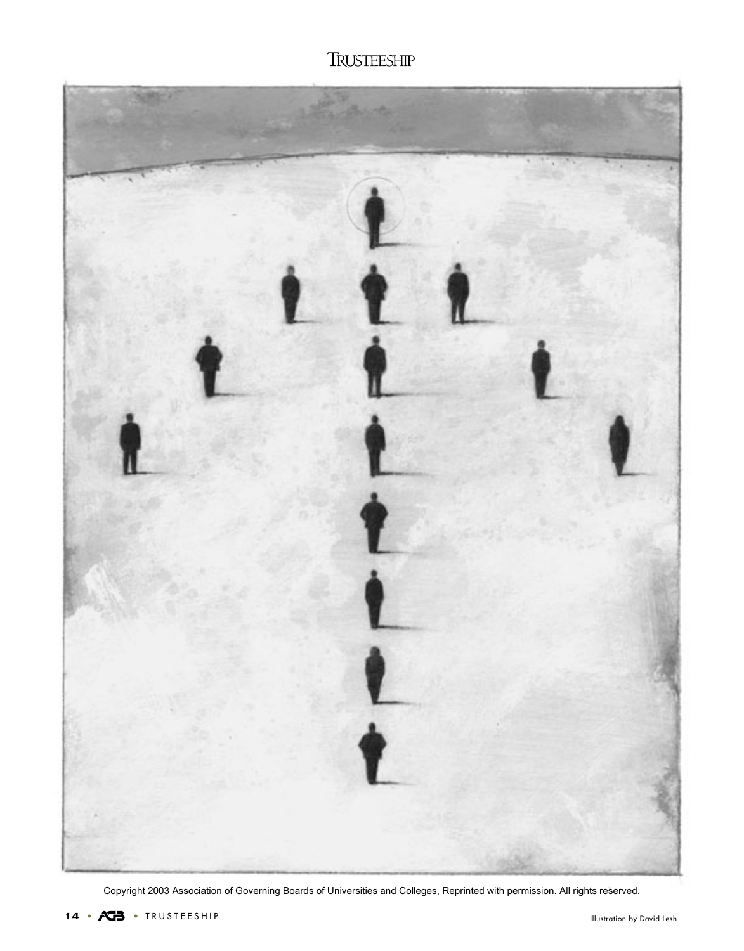

Copyright 2003 Association of Governing Boards of Universities and Colleges, Reprinted with permission. All rights reserved.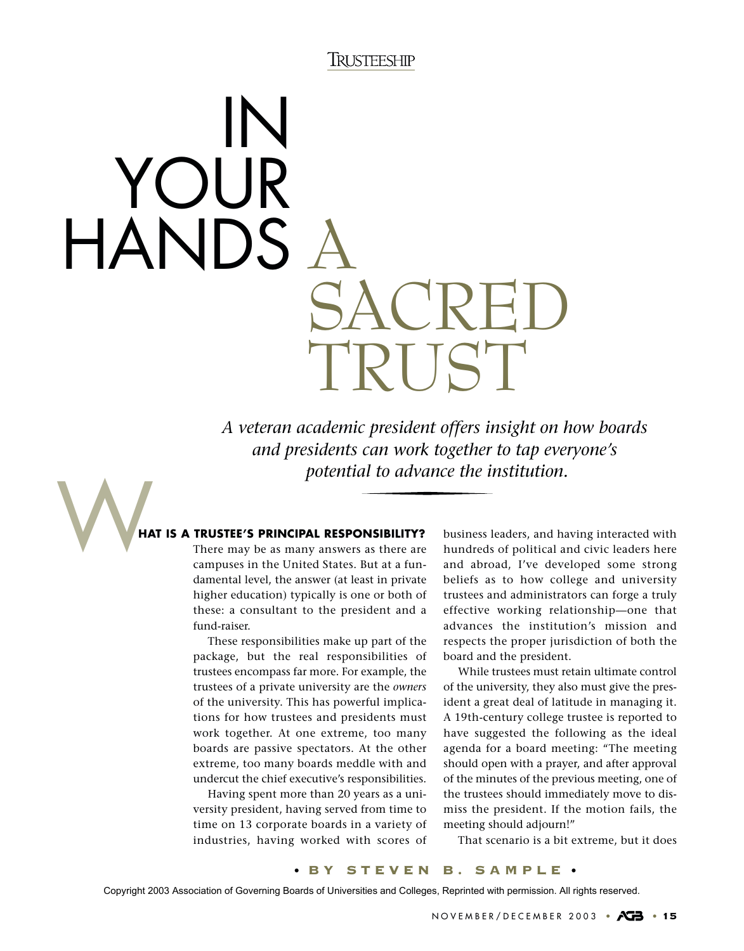# HANDS A SACRED TRUST IN YOUR

*A veteran academic president offers insight on how boards and presidents can work together to tap everyone's potential to advance the institution.*

### W**HAT IS A TRUSTEE'S PRINCIPAL RESPONSIBILITY?**

There may be as many answers as there are campuses in the United States. But at a fundamental level, the answer (at least in private higher education) typically is one or both of these: a consultant to the president and a fund-raiser.

These responsibilities make up part of the package, but the real responsibilities of trustees encompass far more. For example, the trustees of a private university are the *owners* of the university. This has powerful implications for how trustees and presidents must work together. At one extreme, too many boards are passive spectators. At the other extreme, too many boards meddle with and undercut the chief executive's responsibilities.

Having spent more than 20 years as a university president, having served from time to time on 13 corporate boards in a variety of industries, having worked with scores of business leaders, and having interacted with hundreds of political and civic leaders here and abroad, I've developed some strong beliefs as to how college and university trustees and administrators can forge a truly effective working relationship—one that advances the institution's mission and respects the proper jurisdiction of both the board and the president.

While trustees must retain ultimate control of the university, they also must give the president a great deal of latitude in managing it. A 19th-century college trustee is reported to have suggested the following as the ideal agenda for a board meeting: "The meeting should open with a prayer, and after approval of the minutes of the previous meeting, one of the trustees should immediately move to dismiss the president. If the motion fails, the meeting should adjourn!"

That scenario is a bit extreme, but it does

#### • BY STEVEN B. SAMPLE •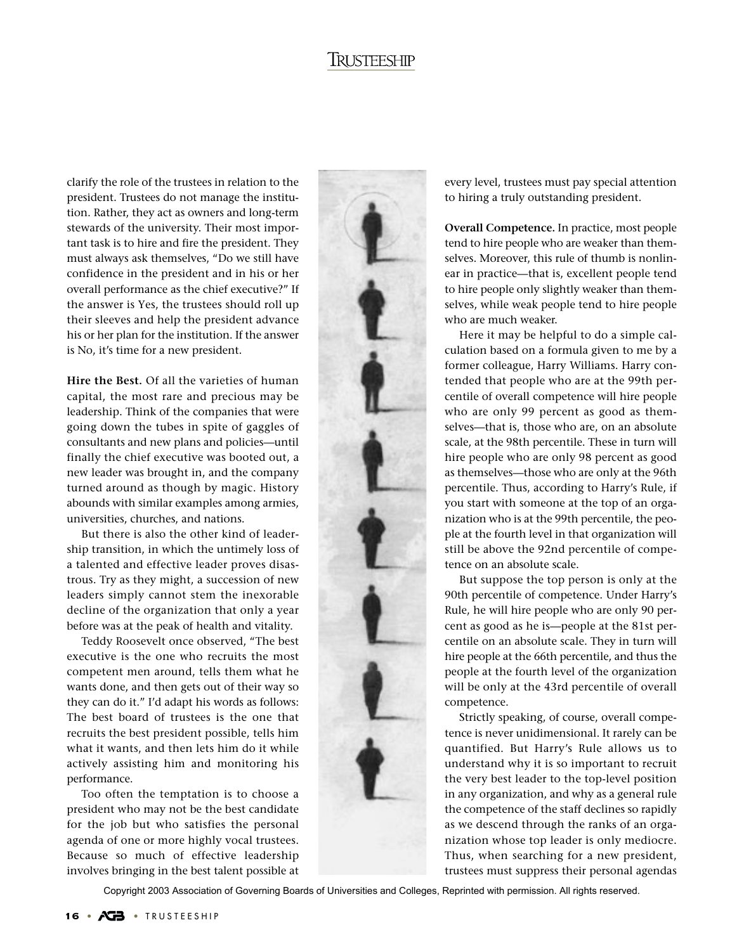clarify the role of the trustees in relation to the president. Trustees do not manage the institution. Rather, they act as owners and long-term stewards of the university. Their most important task is to hire and fire the president. They must always ask themselves, "Do we still have confidence in the president and in his or her overall performance as the chief executive?" If the answer is Yes, the trustees should roll up their sleeves and help the president advance his or her plan for the institution. If the answer is No, it's time for a new president.

**Hire the Best.** Of all the varieties of human capital, the most rare and precious may be leadership. Think of the companies that were going down the tubes in spite of gaggles of consultants and new plans and policies—until finally the chief executive was booted out, a new leader was brought in, and the company turned around as though by magic. History abounds with similar examples among armies, universities, churches, and nations.

But there is also the other kind of leadership transition, in which the untimely loss of a talented and effective leader proves disastrous. Try as they might, a succession of new leaders simply cannot stem the inexorable decline of the organization that only a year before was at the peak of health and vitality.

Teddy Roosevelt once observed, "The best executive is the one who recruits the most competent men around, tells them what he wants done, and then gets out of their way so they can do it." I'd adapt his words as follows: The best board of trustees is the one that recruits the best president possible, tells him what it wants, and then lets him do it while actively assisting him and monitoring his performance.

Too often the temptation is to choose a president who may not be the best candidate for the job but who satisfies the personal agenda of one or more highly vocal trustees. Because so much of effective leadership involves bringing in the best talent possible at

every level, trustees must pay special attention to hiring a truly outstanding president.

**Overall Competence.** In practice, most people tend to hire people who are weaker than themselves. Moreover, this rule of thumb is nonlinear in practice—that is, excellent people tend to hire people only slightly weaker than themselves, while weak people tend to hire people who are much weaker.

Here it may be helpful to do a simple calculation based on a formula given to me by a former colleague, Harry Williams. Harry contended that people who are at the 99th percentile of overall competence will hire people who are only 99 percent as good as themselves—that is, those who are, on an absolute scale, at the 98th percentile. These in turn will hire people who are only 98 percent as good as themselves—those who are only at the 96th percentile. Thus, according to Harry's Rule, if you start with someone at the top of an organization who is at the 99th percentile, the people at the fourth level in that organization will still be above the 92nd percentile of competence on an absolute scale.

But suppose the top person is only at the 90th percentile of competence. Under Harry's Rule, he will hire people who are only 90 percent as good as he is—people at the 81st percentile on an absolute scale. They in turn will hire people at the 66th percentile, and thus the people at the fourth level of the organization will be only at the 43rd percentile of overall competence.

Strictly speaking, of course, overall competence is never unidimensional. It rarely can be quantified. But Harry's Rule allows us to understand why it is so important to recruit the very best leader to the top-level position in any organization, and why as a general rule the competence of the staff declines so rapidly as we descend through the ranks of an organization whose top leader is only mediocre. Thus, when searching for a new president, trustees must suppress their personal agendas

Copyright 2003 Association of Governing Boards of Universities and Colleges, Reprinted with permission. All rights reserved.

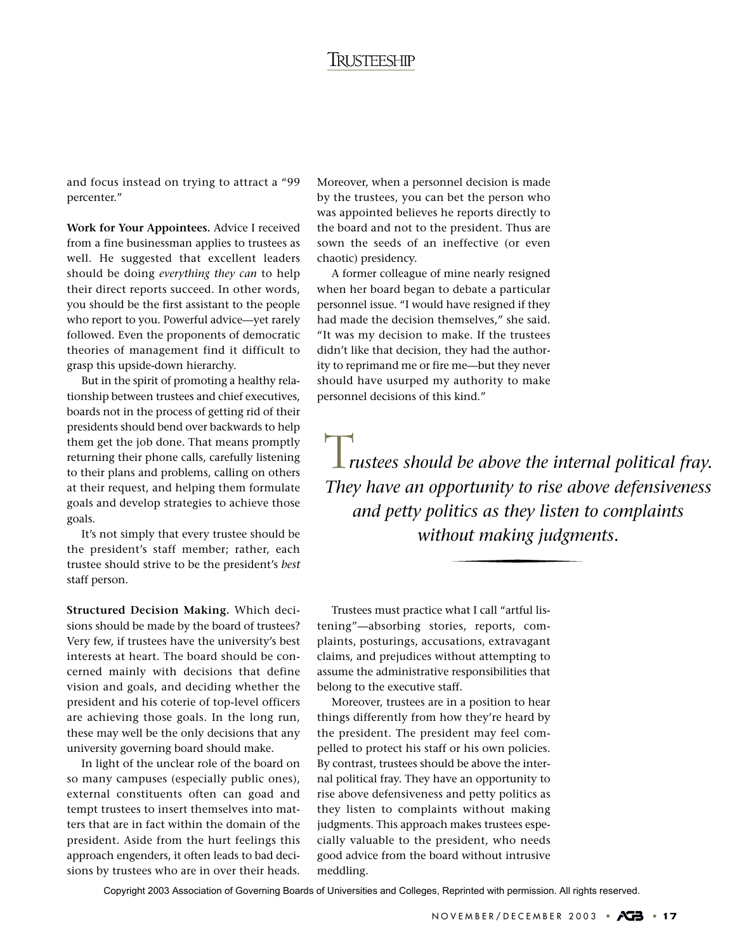and focus instead on trying to attract a "99 percenter."

**Work for Your Appointees.** Advice I received from a fine businessman applies to trustees as well. He suggested that excellent leaders should be doing *everything they can* to help their direct reports succeed. In other words, you should be the first assistant to the people who report to you. Powerful advice—yet rarely followed. Even the proponents of democratic theories of management find it difficult to grasp this upside-down hierarchy.

But in the spirit of promoting a healthy relationship between trustees and chief executives, boards not in the process of getting rid of their presidents should bend over backwards to help them get the job done. That means promptly returning their phone calls, carefully listening to their plans and problems, calling on others at their request, and helping them formulate goals and develop strategies to achieve those goals.

It's not simply that every trustee should be the president's staff member; rather, each trustee should strive to be the president's *best* staff person.

**Structured Decision Making.** Which decisions should be made by the board of trustees? Very few, if trustees have the university's best interests at heart. The board should be concerned mainly with decisions that define vision and goals, and deciding whether the president and his coterie of top-level officers are achieving those goals. In the long run, these may well be the only decisions that any university governing board should make.

In light of the unclear role of the board on so many campuses (especially public ones), external constituents often can goad and tempt trustees to insert themselves into matters that are in fact within the domain of the president. Aside from the hurt feelings this approach engenders, it often leads to bad decisions by trustees who are in over their heads.

Moreover, when a personnel decision is made by the trustees, you can bet the person who was appointed believes he reports directly to the board and not to the president. Thus are sown the seeds of an ineffective (or even chaotic) presidency.

A former colleague of mine nearly resigned when her board began to debate a particular personnel issue. "I would have resigned if they had made the decision themselves," she said. "It was my decision to make. If the trustees didn't like that decision, they had the authority to reprimand me or fire me—but they never should have usurped my authority to make personnel decisions of this kind."

**L** rustees should be above the internal political fray. *They have an opportunity to rise above defensiveness and petty politics as they listen to complaints without making judgments.*

Trustees must practice what I call "artful listening"—absorbing stories, reports, complaints, posturings, accusations, extravagant claims, and prejudices without attempting to assume the administrative responsibilities that belong to the executive staff.

Moreover, trustees are in a position to hear things differently from how they're heard by the president. The president may feel compelled to protect his staff or his own policies. By contrast, trustees should be above the internal political fray. They have an opportunity to rise above defensiveness and petty politics as they listen to complaints without making judgments. This approach makes trustees especially valuable to the president, who needs good advice from the board without intrusive meddling.

Copyright 2003 Association of Governing Boards of Universities and Colleges, Reprinted with permission. All rights reserved.